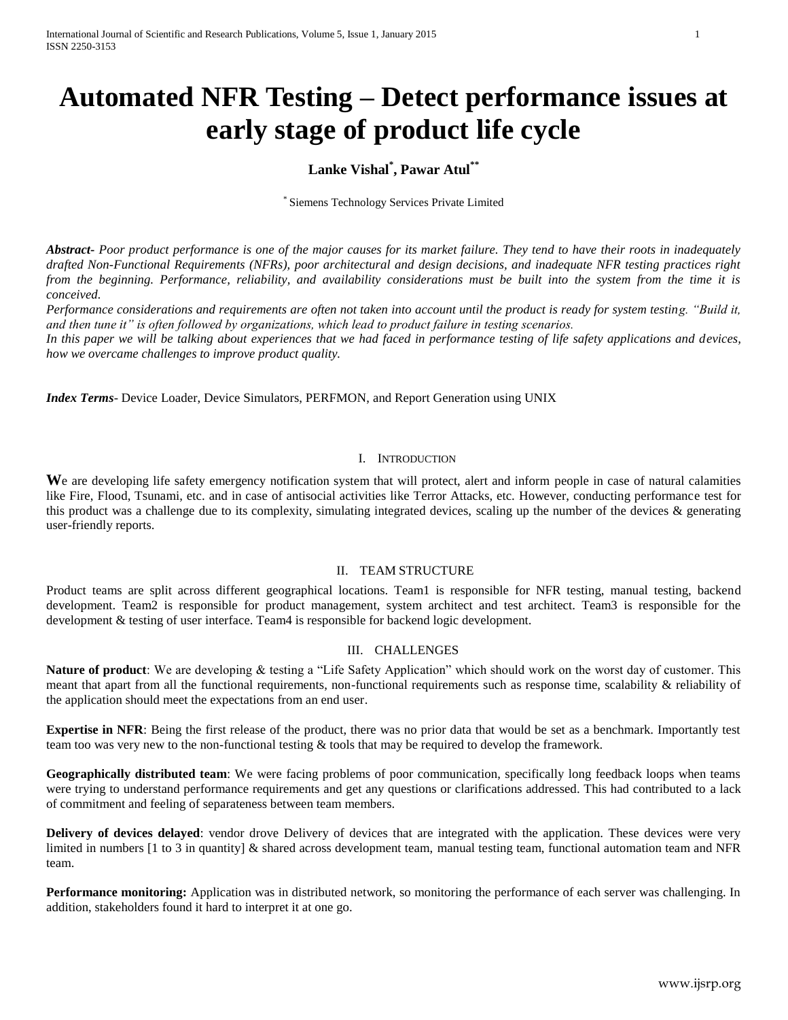# **Automated NFR Testing – Detect performance issues at early stage of product life cycle**

## **Lanke Vishal\* , Pawar Atul\*\***

\* Siemens Technology Services Private Limited

*Abstract***-** *Poor product performance is one of the major causes for its market failure. They tend to have their roots in inadequately drafted Non-Functional Requirements (NFRs), poor architectural and design decisions, and inadequate NFR testing practices right from the beginning. Performance, reliability, and availability considerations must be built into the system from the time it is conceived.* 

*Performance considerations and requirements are often not taken into account until the product is ready for system testing. "Build it, and then tune it" is often followed by organizations, which lead to product failure in testing scenarios.* 

*In this paper we will be talking about experiences that we had faced in performance testing of life safety applications and devices, how we overcame challenges to improve product quality.*

*Index Terms*- Device Loader, Device Simulators, PERFMON, and Report Generation using UNIX

## I. INTRODUCTION

We are developing life safety emergency notification system that will protect, alert and inform people in case of natural calamities like Fire, Flood, Tsunami, etc. and in case of antisocial activities like Terror Attacks, etc. However, conducting performance test for this product was a challenge due to its complexity, simulating integrated devices, scaling up the number of the devices & generating user-friendly reports.

## II. TEAM STRUCTURE

Product teams are split across different geographical locations. Team1 is responsible for NFR testing, manual testing, backend development. Team2 is responsible for product management, system architect and test architect. Team3 is responsible for the development & testing of user interface. Team4 is responsible for backend logic development.

## III. CHALLENGES

**Nature of product**: We are developing & testing a "Life Safety Application" which should work on the worst day of customer. This meant that apart from all the functional requirements, non-functional requirements such as response time, scalability & reliability of the application should meet the expectations from an end user.

**Expertise in NFR**: Being the first release of the product, there was no prior data that would be set as a benchmark. Importantly test team too was very new to the non-functional testing & tools that may be required to develop the framework.

**Geographically distributed team**: We were facing problems of poor communication, specifically long feedback loops when teams were trying to understand performance requirements and get any questions or clarifications addressed. This had contributed to a lack of commitment and feeling of separateness between team members.

**Delivery of devices delayed**: vendor drove Delivery of devices that are integrated with the application. These devices were very limited in numbers [1 to 3 in quantity] & shared across development team, manual testing team, functional automation team and NFR team.

**Performance monitoring:** Application was in distributed network, so monitoring the performance of each server was challenging. In addition, stakeholders found it hard to interpret it at one go.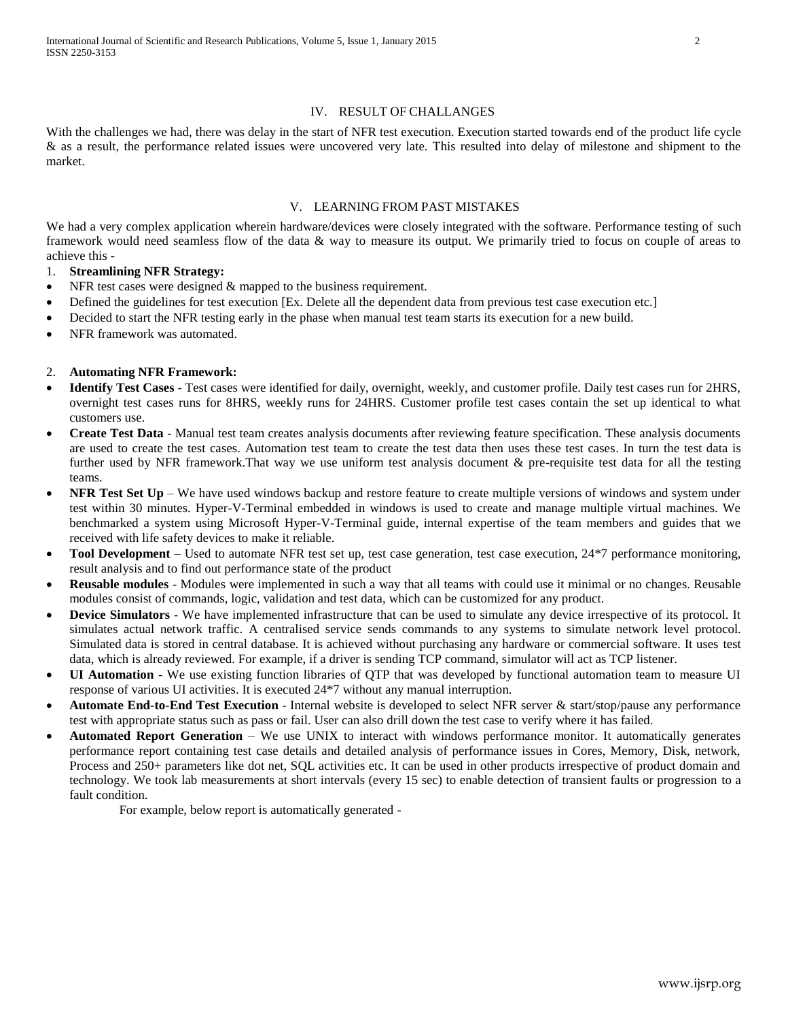## IV. RESULT OF CHALLANGES

With the challenges we had, there was delay in the start of NFR test execution. Execution started towards end of the product life cycle & as a result, the performance related issues were uncovered very late. This resulted into delay of milestone and shipment to the market.

## V. LEARNING FROM PAST MISTAKES

We had a very complex application wherein hardware/devices were closely integrated with the software. Performance testing of such framework would need seamless flow of the data & way to measure its output. We primarily tried to focus on couple of areas to achieve this -

1. **Streamlining NFR Strategy:** 

- NFR test cases were designed & mapped to the business requirement.
- Defined the guidelines for test execution [Ex. Delete all the dependent data from previous test case execution etc.]
- Decided to start the NFR testing early in the phase when manual test team starts its execution for a new build.
- NFR framework was automated.

## 2. **Automating NFR Framework:**

- **Identify Test Cases** Test cases were identified for daily, overnight, weekly, and customer profile. Daily test cases run for 2HRS, overnight test cases runs for 8HRS, weekly runs for 24HRS. Customer profile test cases contain the set up identical to what customers use.
- **Create Test Data** Manual test team creates analysis documents after reviewing feature specification. These analysis documents are used to create the test cases. Automation test team to create the test data then uses these test cases. In turn the test data is further used by NFR framework.That way we use uniform test analysis document & pre-requisite test data for all the testing teams.
- **NFR Test Set Up** We have used windows backup and restore feature to create multiple versions of windows and system under test within 30 minutes. Hyper-V-Terminal embedded in windows is used to create and manage multiple virtual machines. We benchmarked a system using Microsoft Hyper-V-Terminal guide, internal expertise of the team members and guides that we received with life safety devices to make it reliable.
- **Tool Development** Used to automate NFR test set up, test case generation, test case execution, 24\*7 performance monitoring, result analysis and to find out performance state of the product
- **Reusable modules** Modules were implemented in such a way that all teams with could use it minimal or no changes. Reusable modules consist of commands, logic, validation and test data, which can be customized for any product.
- **Device Simulators** We have implemented infrastructure that can be used to simulate any device irrespective of its protocol. It simulates actual network traffic. A centralised service sends commands to any systems to simulate network level protocol. Simulated data is stored in central database. It is achieved without purchasing any hardware or commercial software. It uses test data, which is already reviewed. For example, if a driver is sending TCP command, simulator will act as TCP listener.
- **UI Automation** We use existing function libraries of QTP that was developed by functional automation team to measure UI response of various UI activities. It is executed 24\*7 without any manual interruption.
- **Automate End-to-End Test Execution** Internal website is developed to select NFR server & start/stop/pause any performance test with appropriate status such as pass or fail. User can also drill down the test case to verify where it has failed.
- **Automated Report Generation** We use UNIX to interact with windows performance monitor. It automatically generates performance report containing test case details and detailed analysis of performance issues in Cores, Memory, Disk, network, Process and 250+ parameters like dot net, SQL activities etc. It can be used in other products irrespective of product domain and technology. We took lab measurements at short intervals (every 15 sec) to enable detection of transient faults or progression to a fault condition.

For example, below report is automatically generated -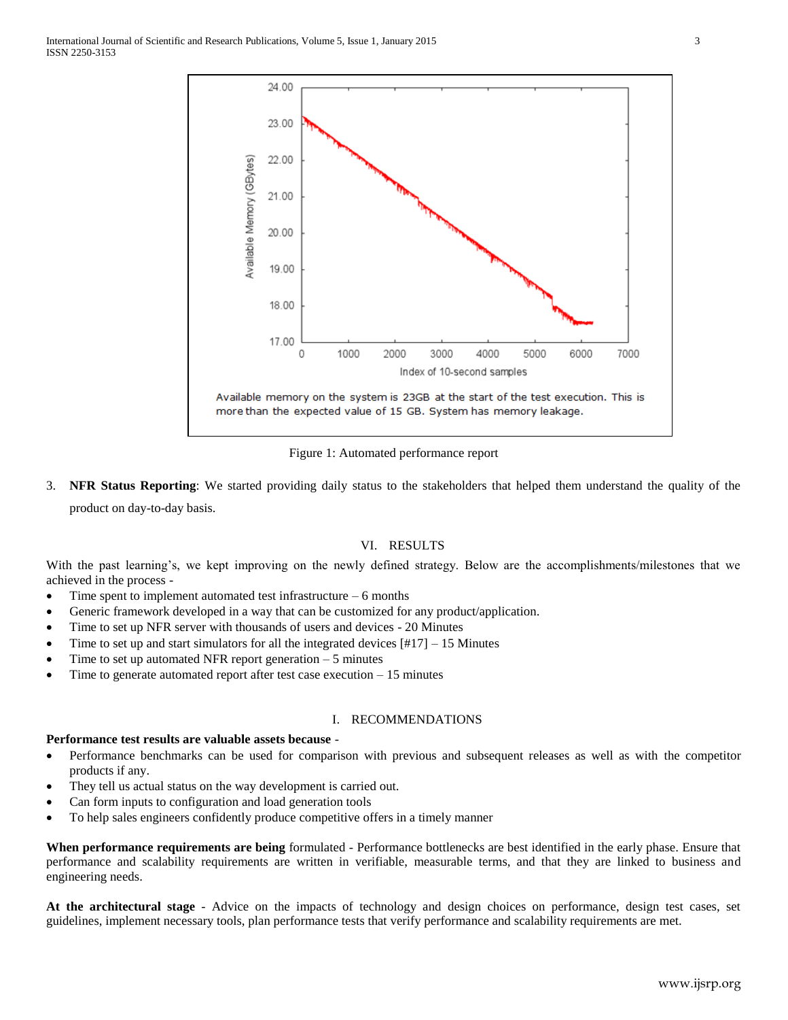

Figure 1: Automated performance report

3. **NFR Status Reporting**: We started providing daily status to the stakeholders that helped them understand the quality of the product on day-to-day basis.

## VI. RESULTS

With the past learning's, we kept improving on the newly defined strategy. Below are the accomplishments/milestones that we achieved in the process -

- $\bullet$  Time spent to implement automated test infrastructure  $-6$  months
- Generic framework developed in a way that can be customized for any product/application.
- Time to set up NFR server with thousands of users and devices 20 Minutes
- Time to set up and start simulators for all the integrated devices  $[#17] 15$  Minutes
- Time to set up automated NFR report generation  $-5$  minutes
- Time to generate automated report after test case execution 15 minutes

### I. RECOMMENDATIONS

## **Performance test results are valuable assets because** -

- Performance benchmarks can be used for comparison with previous and subsequent releases as well as with the competitor products if any.
- They tell us actual status on the way development is carried out.
- Can form inputs to configuration and load generation tools
- To help sales engineers confidently produce competitive offers in a timely manner

**When performance requirements are being** formulated - Performance bottlenecks are best identified in the early phase. Ensure that performance and scalability requirements are written in verifiable, measurable terms, and that they are linked to business and engineering needs.

**At the architectural stage** - Advice on the impacts of technology and design choices on performance, design test cases, set guidelines, implement necessary tools, plan performance tests that verify performance and scalability requirements are met.